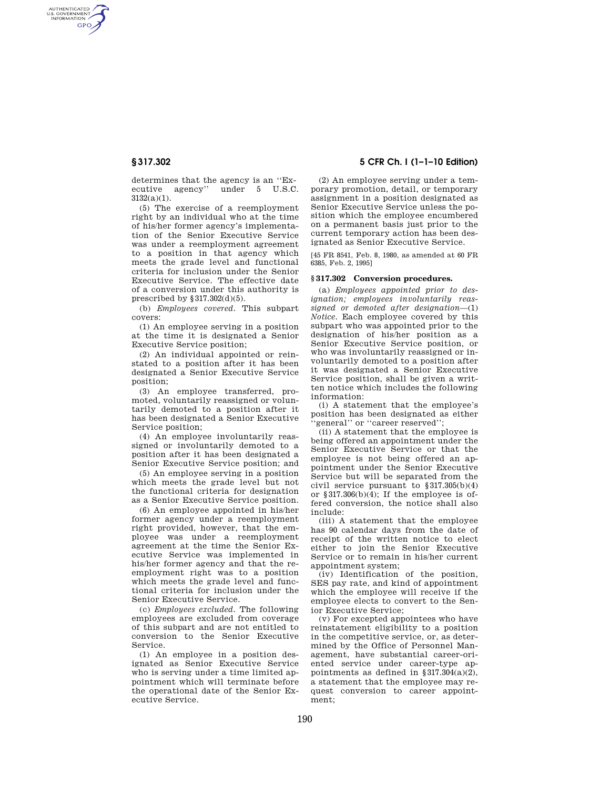AUTHENTICATED<br>U.S. GOVERNMENT<br>INFORMATION **GPO** 

> determines that the agency is an ''Executive agency'' under 5 U.S.C.  $3132(a)(1)$ .

(5) The exercise of a reemployment right by an individual who at the time of his/her former agency's implementation of the Senior Executive Service was under a reemployment agreement to a position in that agency which meets the grade level and functional criteria for inclusion under the Senior Executive Service. The effective date of a conversion under this authority is prescribed by  $\S 317.302(d)(5)$ .

(b) *Employees covered.* This subpart covers:

(1) An employee serving in a position at the time it is designated a Senior Executive Service position;

(2) An individual appointed or reinstated to a position after it has been designated a Senior Executive Service position;

(3) An employee transferred, promoted, voluntarily reassigned or voluntarily demoted to a position after it has been designated a Senior Executive Service position;

(4) An employee involuntarily reassigned or involuntarily demoted to a position after it has been designated a Senior Executive Service position; and

(5) An employee serving in a position which meets the grade level but not the functional criteria for designation as a Senior Executive Service position.

(6) An employee appointed in his/her former agency under a reemployment right provided, however, that the employee was under a reemployment agreement at the time the Senior Executive Service was implemented in his/her former agency and that the reemployment right was to a position which meets the grade level and functional criteria for inclusion under the Senior Executive Service.

(c) *Employees excluded.* The following employees are excluded from coverage of this subpart and are not entitled to conversion to the Senior Executive Service.

(1) An employee in a position designated as Senior Executive Service who is serving under a time limited appointment which will terminate before the operational date of the Senior Executive Service.

# **§ 317.302 5 CFR Ch. I (1–1–10 Edition)**

(2) An employee serving under a temporary promotion, detail, or temporary assignment in a position designated as Senior Executive Service unless the position which the employee encumbered on a permanent basis just prior to the current temporary action has been designated as Senior Executive Service.

[45 FR 8541, Feb. 8, 1980, as amended at 60 FR 6385, Feb. 2, 1995]

# **§ 317.302 Conversion procedures.**

(a) *Employees appointed prior to designation; employees involuntarily reassigned or demoted after designation*—(1) *Notice.* Each employee covered by this subpart who was appointed prior to the designation of his/her position as a Senior Executive Service position, or who was involuntarily reassigned or involuntarily demoted to a position after it was designated a Senior Executive Service position, shall be given a written notice which includes the following information:

(i) A statement that the employee's position has been designated as either 'general'' or "career reserved";

(ii) A statement that the employee is being offered an appointment under the Senior Executive Service or that the employee is not being offered an appointment under the Senior Executive Service but will be separated from the civil service pursuant to §317.305(b)(4) or  $$317.306(b)(4)$ ; If the employee is offered conversion, the notice shall also include:

(iii) A statement that the employee has 90 calendar days from the date of receipt of the written notice to elect either to join the Senior Executive Service or to remain in his/her current appointment system;

(iv) Identification of the position, SES pay rate, and kind of appointment which the employee will receive if the employee elects to convert to the Senior Executive Service;

(v) For excepted appointees who have reinstatement eligibility to a position in the competitive service, or, as determined by the Office of Personnel Management, have substantial career-oriented service under career-type appointments as defined in  $§ 317.304(a)(2),$ a statement that the employee may request conversion to career appointment;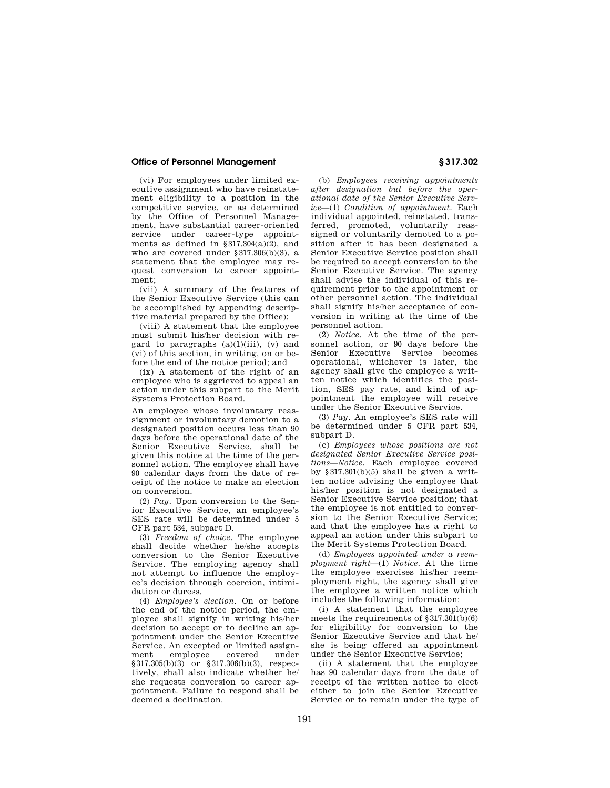# **Office of Personnel Management § 317.302**

(vi) For employees under limited executive assignment who have reinstatement eligibility to a position in the competitive service, or as determined by the Office of Personnel Management, have substantial career-oriented service under career-type appointments as defined in  $$317.304(a)(2)$ , and who are covered under §317.306(b)(3), a statement that the employee may request conversion to career appointment;

(vii) A summary of the features of the Senior Executive Service (this can be accomplished by appending descriptive material prepared by the Office);

(viii) A statement that the employee must submit his/her decision with regard to paragraphs  $(a)(1)(iii)$ ,  $(v)$  and (vi) of this section, in writing, on or before the end of the notice period; and

(ix) A statement of the right of an employee who is aggrieved to appeal an action under this subpart to the Merit Systems Protection Board.

An employee whose involuntary reassignment or involuntary demotion to a designated position occurs less than 90 days before the operational date of the Senior Executive Service, shall be given this notice at the time of the personnel action. The employee shall have 90 calendar days from the date of receipt of the notice to make an election on conversion.

(2) *Pay.* Upon conversion to the Senior Executive Service, an employee's SES rate will be determined under 5 CFR part 534, subpart D.

(3) *Freedom of choice.* The employee shall decide whether he/she accepts conversion to the Senior Executive Service. The employing agency shall not attempt to influence the employee's decision through coercion, intimidation or duress.

(4) *Employee's election.* On or before the end of the notice period, the employee shall signify in writing his/her decision to accept or to decline an appointment under the Senior Executive Service. An excepted or limited assign-<br>ment employee covered under employee §317.305(b)(3) or §317.306(b)(3), respectively, shall also indicate whether he/ she requests conversion to career appointment. Failure to respond shall be deemed a declination.

(b) *Employees receiving appointments after designation but before the operational date of the Senior Executive Service*—(1) *Condition of appointment.* Each individual appointed, reinstated, transferred, promoted, voluntarily reassigned or voluntarily demoted to a position after it has been designated a Senior Executive Service position shall be required to accept conversion to the Senior Executive Service. The agency shall advise the individual of this requirement prior to the appointment or other personnel action. The individual shall signify his/her acceptance of conversion in writing at the time of the personnel action.

(2) *Notice.* At the time of the personnel action, or 90 days before the Senior Executive Service becomes operational, whichever is later, the agency shall give the employee a written notice which identifies the position, SES pay rate, and kind of appointment the employee will receive under the Senior Executive Service.

(3) *Pay.* An employee's SES rate will be determined under 5 CFR part 534, subpart D.

(c) *Employees whose positions are not designated Senior Executive Service positions—Notice.* Each employee covered by  $§317.301(b)(5)$  shall be given a written notice advising the employee that his/her position is not designated a Senior Executive Service position; that the employee is not entitled to conversion to the Senior Executive Service; and that the employee has a right to appeal an action under this subpart to the Merit Systems Protection Board.

(d) *Employees appointed under a reemployment right*—(1) *Notice.* At the time the employee exercises his/her reemployment right, the agency shall give the employee a written notice which includes the following information:

(i) A statement that the employee meets the requirements of §317.301(b)(6) for eligibility for conversion to the Senior Executive Service and that he/ she is being offered an appointment under the Senior Executive Service;

(ii) A statement that the employee has 90 calendar days from the date of receipt of the written notice to elect either to join the Senior Executive Service or to remain under the type of